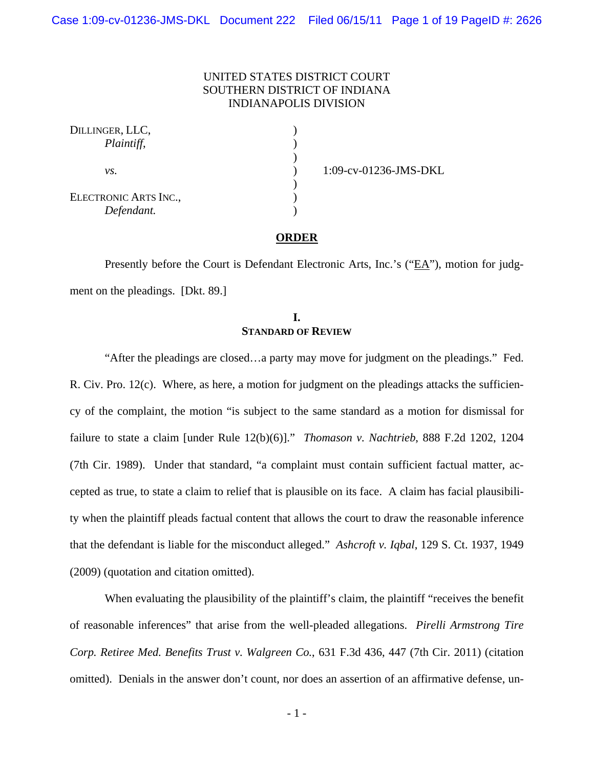# UNITED STATES DISTRICT COURT SOUTHERN DISTRICT OF INDIANA INDIANAPOLIS DIVISION

) ) )  $\frac{1}{\sqrt{2}}$ ) )  $\mathcal{L}$ 

| DILLINGER, LLC,<br>Plaintiff,       |  |
|-------------------------------------|--|
| VS.                                 |  |
| ELECTRONIC ARTS INC.,<br>Defendant. |  |

1:09-cv-01236-JMS-DKL

#### **ORDER**

Presently before the Court is Defendant Electronic Arts, Inc.'s ("EA"), motion for judgment on the pleadings. [Dkt. 89.]

## **I. STANDARD OF REVIEW**

 "After the pleadings are closed…a party may move for judgment on the pleadings." Fed. R. Civ. Pro.  $12(c)$ . Where, as here, a motion for judgment on the pleadings attacks the sufficiency of the complaint, the motion "is subject to the same standard as a motion for dismissal for failure to state a claim [under Rule 12(b)(6)]." *Thomason v. Nachtrieb*, 888 F.2d 1202, 1204 (7th Cir. 1989). Under that standard, "a complaint must contain sufficient factual matter, accepted as true, to state a claim to relief that is plausible on its face. A claim has facial plausibility when the plaintiff pleads factual content that allows the court to draw the reasonable inference that the defendant is liable for the misconduct alleged." *Ashcroft v. Iqbal*, 129 S. Ct. 1937, 1949 (2009) (quotation and citation omitted).

When evaluating the plausibility of the plaintiff's claim, the plaintiff "receives the benefit" of reasonable inferences" that arise from the well-pleaded allegations. *Pirelli Armstrong Tire Corp. Retiree Med. Benefits Trust v. Walgreen Co.*, 631 F.3d 436, 447 (7th Cir. 2011) (citation omitted). Denials in the answer don't count, nor does an assertion of an affirmative defense, un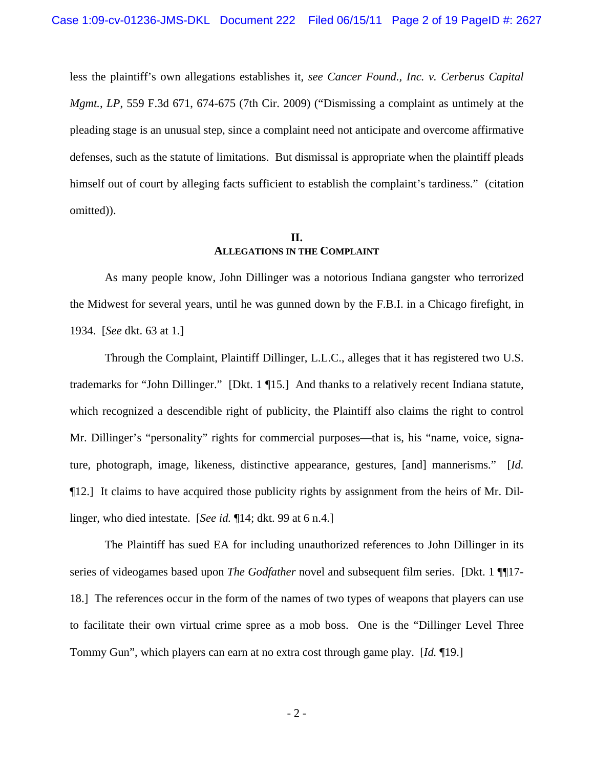less the plaintiff's own allegations establishes it, *see Cancer Found., Inc. v. Cerberus Capital Mgmt.*, *LP*, 559 F.3d 671, 674-675 (7th Cir. 2009) ("Dismissing a complaint as untimely at the pleading stage is an unusual step, since a complaint need not anticipate and overcome affirmative defenses, such as the statute of limitations. But dismissal is appropriate when the plaintiff pleads himself out of court by alleging facts sufficient to establish the complaint's tardiness." (citation omitted)).

# **II. ALLEGATIONS IN THE COMPLAINT**

As many people know, John Dillinger was a notorious Indiana gangster who terrorized the Midwest for several years, until he was gunned down by the F.B.I. in a Chicago firefight, in 1934. [*See* dkt. 63 at 1.]

Through the Complaint, Plaintiff Dillinger, L.L.C., alleges that it has registered two U.S. trademarks for "John Dillinger." [Dkt. 1 ¶15.] And thanks to a relatively recent Indiana statute, which recognized a descendible right of publicity, the Plaintiff also claims the right to control Mr. Dillinger's "personality" rights for commercial purposes—that is, his "name, voice, signature, photograph, image, likeness, distinctive appearance, gestures, [and] mannerisms." [*Id.* ¶12.] It claims to have acquired those publicity rights by assignment from the heirs of Mr. Dillinger, who died intestate. [*See id.* ¶14; dkt. 99 at 6 n.4.]

The Plaintiff has sued EA for including unauthorized references to John Dillinger in its series of videogames based upon *The Godfather* novel and subsequent film series. [Dkt. 1 ¶¶17-18.] The references occur in the form of the names of two types of weapons that players can use to facilitate their own virtual crime spree as a mob boss. One is the "Dillinger Level Three Tommy Gun", which players can earn at no extra cost through game play. [*Id.* ¶19.]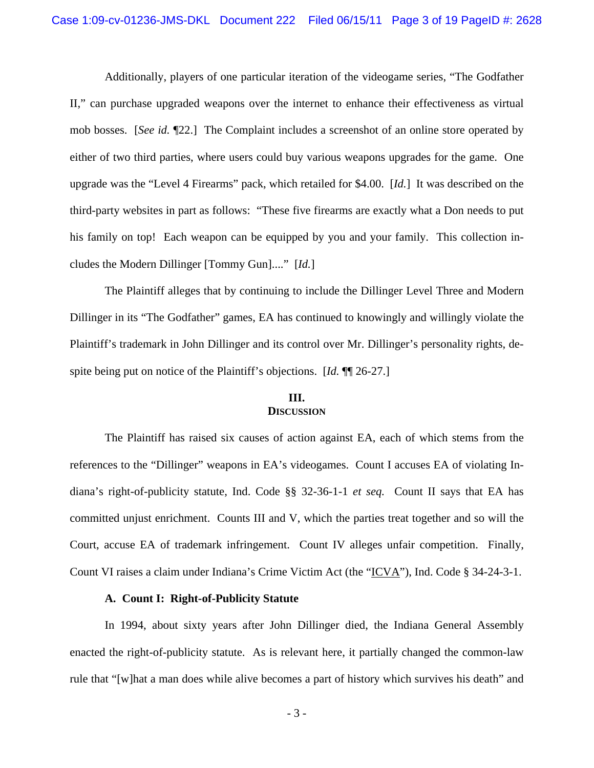Additionally, players of one particular iteration of the videogame series, "The Godfather II," can purchase upgraded weapons over the internet to enhance their effectiveness as virtual mob bosses. [*See id.* ¶22.] The Complaint includes a screenshot of an online store operated by either of two third parties, where users could buy various weapons upgrades for the game. One upgrade was the "Level 4 Firearms" pack, which retailed for \$4.00. [*Id.*] It was described on the third-party websites in part as follows: "These five firearms are exactly what a Don needs to put his family on top! Each weapon can be equipped by you and your family. This collection includes the Modern Dillinger [Tommy Gun]...." [*Id.*]

The Plaintiff alleges that by continuing to include the Dillinger Level Three and Modern Dillinger in its "The Godfather" games, EA has continued to knowingly and willingly violate the Plaintiff's trademark in John Dillinger and its control over Mr. Dillinger's personality rights, despite being put on notice of the Plaintiff's objections. [*Id.* ¶¶ 26-27.]

### **III. DISCUSSION**

The Plaintiff has raised six causes of action against EA, each of which stems from the references to the "Dillinger" weapons in EA's videogames. Count I accuses EA of violating Indiana's right-of-publicity statute, Ind. Code §§ 32-36-1-1 *et seq.* Count II says that EA has committed unjust enrichment. Counts III and V, which the parties treat together and so will the Court, accuse EA of trademark infringement. Count IV alleges unfair competition. Finally, Count VI raises a claim under Indiana's Crime Victim Act (the "ICVA"), Ind. Code § 34-24-3-1.

#### **A. Count I: Right-of-Publicity Statute**

In 1994, about sixty years after John Dillinger died, the Indiana General Assembly enacted the right-of-publicity statute. As is relevant here, it partially changed the common-law rule that "[w]hat a man does while alive becomes a part of history which survives his death" and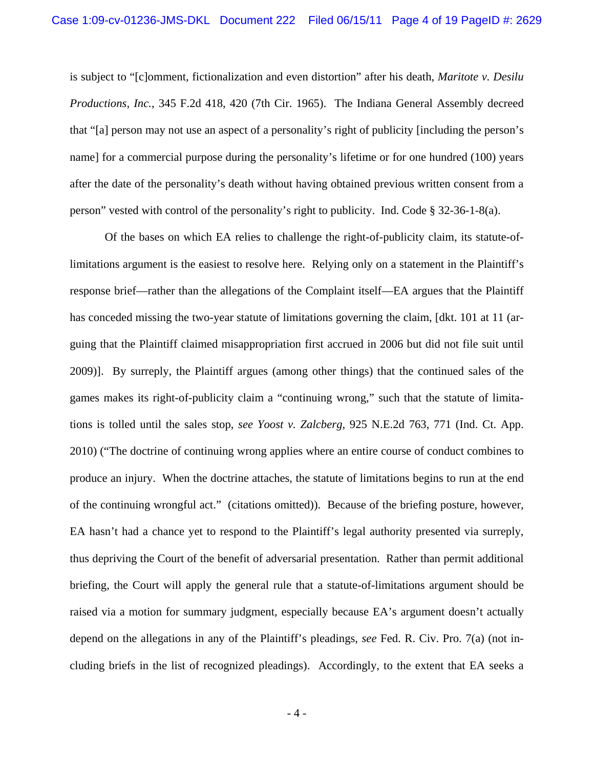is subject to "[c]omment, fictionalization and even distortion" after his death, *Maritote v. Desilu Productions, Inc.*, 345 F.2d 418, 420 (7th Cir. 1965). The Indiana General Assembly decreed that "[a] person may not use an aspect of a personality's right of publicity [including the person's name] for a commercial purpose during the personality's lifetime or for one hundred (100) years after the date of the personality's death without having obtained previous written consent from a person" vested with control of the personality's right to publicity. Ind. Code § 32-36-1-8(a).

Of the bases on which EA relies to challenge the right-of-publicity claim, its statute-oflimitations argument is the easiest to resolve here. Relying only on a statement in the Plaintiff's response brief—rather than the allegations of the Complaint itself—EA argues that the Plaintiff has conceded missing the two-year statute of limitations governing the claim, [dkt. 101 at 11 (arguing that the Plaintiff claimed misappropriation first accrued in 2006 but did not file suit until 2009)]. By surreply, the Plaintiff argues (among other things) that the continued sales of the games makes its right-of-publicity claim a "continuing wrong," such that the statute of limitations is tolled until the sales stop, *see Yoost v. Zalcberg*, 925 N.E.2d 763, 771 (Ind. Ct. App. 2010) ("The doctrine of continuing wrong applies where an entire course of conduct combines to produce an injury. When the doctrine attaches, the statute of limitations begins to run at the end of the continuing wrongful act." (citations omitted)). Because of the briefing posture, however, EA hasn't had a chance yet to respond to the Plaintiff's legal authority presented via surreply, thus depriving the Court of the benefit of adversarial presentation. Rather than permit additional briefing, the Court will apply the general rule that a statute-of-limitations argument should be raised via a motion for summary judgment, especially because EA's argument doesn't actually depend on the allegations in any of the Plaintiff's pleadings, *see* Fed. R. Civ. Pro. 7(a) (not including briefs in the list of recognized pleadings). Accordingly, to the extent that EA seeks a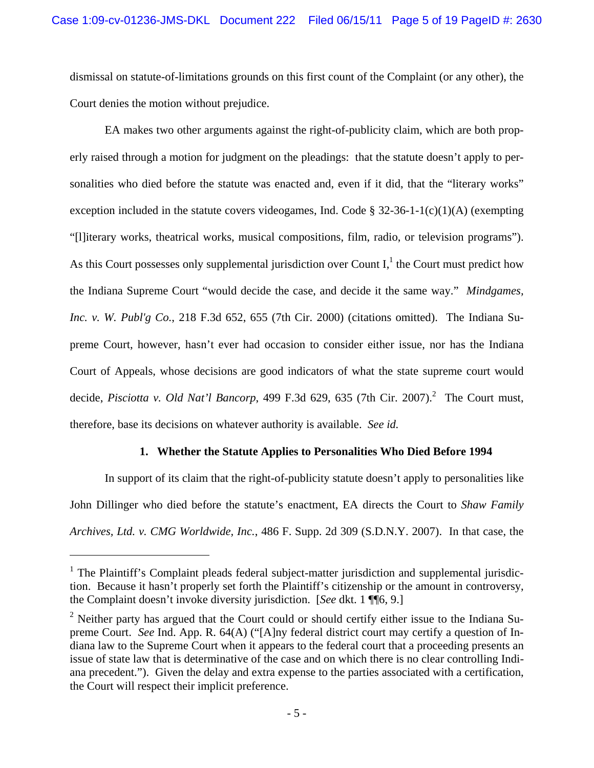dismissal on statute-of-limitations grounds on this first count of the Complaint (or any other), the Court denies the motion without prejudice.

EA makes two other arguments against the right-of-publicity claim, which are both properly raised through a motion for judgment on the pleadings: that the statute doesn't apply to personalities who died before the statute was enacted and, even if it did, that the "literary works" exception included in the statute covers videogames, Ind. Code §  $32-36-1-1(c)(1)(A)$  (exempting "[l]iterary works, theatrical works, musical compositions, film, radio, or television programs"). As this Court possesses only supplemental jurisdiction over Count  $I<sub>i</sub><sup>1</sup>$  the Court must predict how the Indiana Supreme Court "would decide the case, and decide it the same way." *Mindgames, Inc. v. W. Publ'g Co.*, 218 F.3d 652, 655 (7th Cir. 2000) (citations omitted). The Indiana Supreme Court, however, hasn't ever had occasion to consider either issue, nor has the Indiana Court of Appeals, whose decisions are good indicators of what the state supreme court would decide, *Pisciotta v. Old Nat'l Bancorp*, 499 F.3d 629, 635 (7th Cir. 2007).<sup>2</sup> The Court must, therefore, base its decisions on whatever authority is available. *See id.* 

# **1. Whether the Statute Applies to Personalities Who Died Before 1994**

In support of its claim that the right-of-publicity statute doesn't apply to personalities like John Dillinger who died before the statute's enactment, EA directs the Court to *Shaw Family Archives, Ltd. v. CMG Worldwide, Inc.*, 486 F. Supp. 2d 309 (S.D.N.Y. 2007). In that case, the

<sup>&</sup>lt;sup>1</sup> The Plaintiff's Complaint pleads federal subject-matter jurisdiction and supplemental jurisdiction. Because it hasn't properly set forth the Plaintiff's citizenship or the amount in controversy, the Complaint doesn't invoke diversity jurisdiction. [*See* dkt. 1 ¶¶6, 9.]

<sup>&</sup>lt;sup>2</sup> Neither party has argued that the Court could or should certify either issue to the Indiana Supreme Court. *See* Ind. App. R. 64(A) ("[A]ny federal district court may certify a question of Indiana law to the Supreme Court when it appears to the federal court that a proceeding presents an issue of state law that is determinative of the case and on which there is no clear controlling Indiana precedent."). Given the delay and extra expense to the parties associated with a certification, the Court will respect their implicit preference.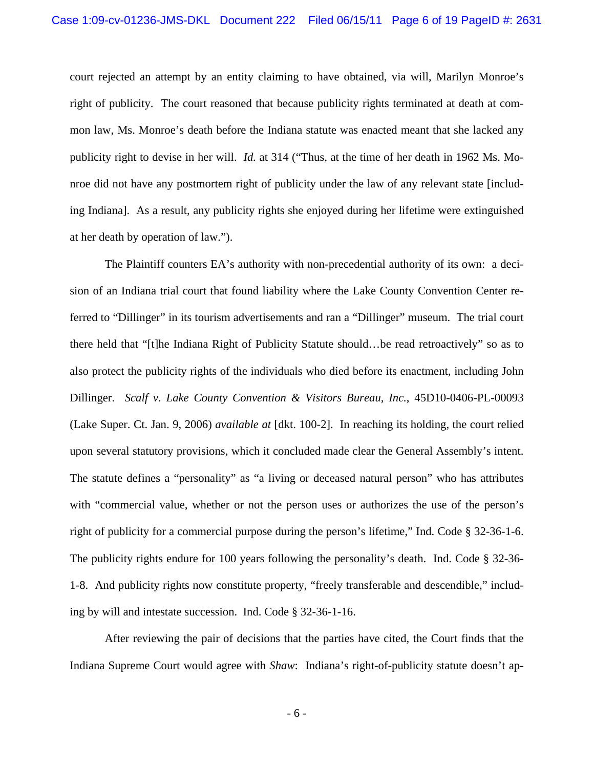court rejected an attempt by an entity claiming to have obtained, via will, Marilyn Monroe's right of publicity. The court reasoned that because publicity rights terminated at death at common law, Ms. Monroe's death before the Indiana statute was enacted meant that she lacked any publicity right to devise in her will. *Id.* at 314 ("Thus, at the time of her death in 1962 Ms. Monroe did not have any postmortem right of publicity under the law of any relevant state [including Indiana]. As a result, any publicity rights she enjoyed during her lifetime were extinguished at her death by operation of law.").

The Plaintiff counters EA's authority with non-precedential authority of its own: a decision of an Indiana trial court that found liability where the Lake County Convention Center referred to "Dillinger" in its tourism advertisements and ran a "Dillinger" museum. The trial court there held that "[t]he Indiana Right of Publicity Statute should…be read retroactively" so as to also protect the publicity rights of the individuals who died before its enactment, including John Dillinger. *Scalf v. Lake County Convention & Visitors Bureau, Inc.*, 45D10-0406-PL-00093 (Lake Super. Ct. Jan. 9, 2006) *available at* [dkt. 100-2]. In reaching its holding, the court relied upon several statutory provisions, which it concluded made clear the General Assembly's intent. The statute defines a "personality" as "a living or deceased natural person" who has attributes with "commercial value, whether or not the person uses or authorizes the use of the person's right of publicity for a commercial purpose during the person's lifetime," Ind. Code § 32-36-1-6. The publicity rights endure for 100 years following the personality's death. Ind. Code § 32-36- 1-8. And publicity rights now constitute property, "freely transferable and descendible," including by will and intestate succession. Ind. Code § 32-36-1-16.

After reviewing the pair of decisions that the parties have cited, the Court finds that the Indiana Supreme Court would agree with *Shaw*: Indiana's right-of-publicity statute doesn't ap-

- 6 -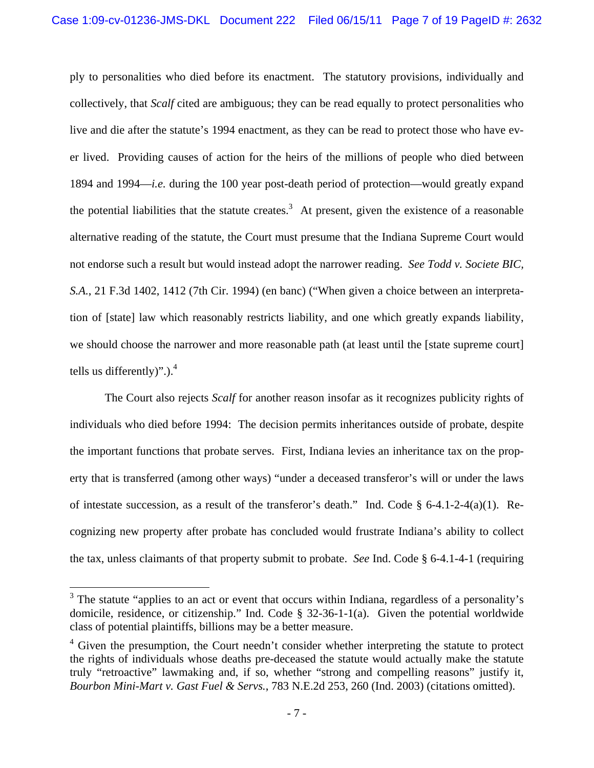ply to personalities who died before its enactment. The statutory provisions, individually and collectively, that *Scalf* cited are ambiguous; they can be read equally to protect personalities who live and die after the statute's 1994 enactment, as they can be read to protect those who have ever lived. Providing causes of action for the heirs of the millions of people who died between 1894 and 1994—*i.e.* during the 100 year post-death period of protection—would greatly expand the potential liabilities that the statute creates.<sup>3</sup> At present, given the existence of a reasonable alternative reading of the statute, the Court must presume that the Indiana Supreme Court would not endorse such a result but would instead adopt the narrower reading. *See Todd v. Societe BIC, S.A.*, 21 F.3d 1402, 1412 (7th Cir. 1994) (en banc) ("When given a choice between an interpretation of [state] law which reasonably restricts liability, and one which greatly expands liability, we should choose the narrower and more reasonable path (at least until the [state supreme court] tells us differently)". $).<sup>4</sup>$ 

The Court also rejects *Scalf* for another reason insofar as it recognizes publicity rights of individuals who died before 1994: The decision permits inheritances outside of probate, despite the important functions that probate serves. First, Indiana levies an inheritance tax on the property that is transferred (among other ways) "under a deceased transferor's will or under the laws of intestate succession, as a result of the transferor's death." Ind. Code § 6-4.1-2-4(a)(1). Recognizing new property after probate has concluded would frustrate Indiana's ability to collect the tax, unless claimants of that property submit to probate. *See* Ind. Code § 6-4.1-4-1 (requiring

<sup>&</sup>lt;sup>3</sup> The statute "applies to an act or event that occurs within Indiana, regardless of a personality's domicile, residence, or citizenship." Ind. Code § 32-36-1-1(a). Given the potential worldwide class of potential plaintiffs, billions may be a better measure.

<sup>&</sup>lt;sup>4</sup> Given the presumption, the Court needn't consider whether interpreting the statute to protect the rights of individuals whose deaths pre-deceased the statute would actually make the statute truly "retroactive" lawmaking and, if so, whether "strong and compelling reasons" justify it, *Bourbon Mini-Mart v. Gast Fuel & Servs.*, 783 N.E.2d 253, 260 (Ind. 2003) (citations omitted).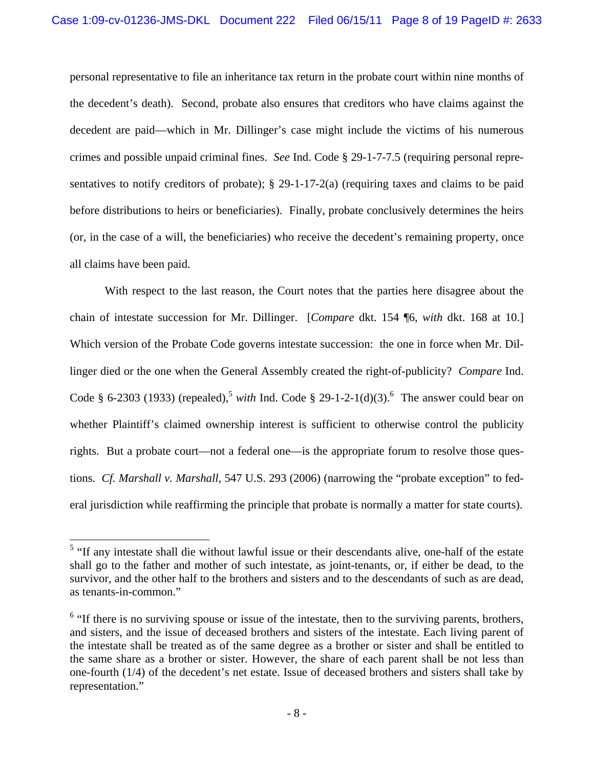personal representative to file an inheritance tax return in the probate court within nine months of the decedent's death). Second, probate also ensures that creditors who have claims against the decedent are paid—which in Mr. Dillinger's case might include the victims of his numerous crimes and possible unpaid criminal fines. *See* Ind. Code § 29-1-7-7.5 (requiring personal representatives to notify creditors of probate);  $\S$  29-1-17-2(a) (requiring taxes and claims to be paid before distributions to heirs or beneficiaries). Finally, probate conclusively determines the heirs (or, in the case of a will, the beneficiaries) who receive the decedent's remaining property, once all claims have been paid.

With respect to the last reason, the Court notes that the parties here disagree about the chain of intestate succession for Mr. Dillinger. [*Compare* dkt. 154 ¶6, *with* dkt. 168 at 10.] Which version of the Probate Code governs intestate succession: the one in force when Mr. Dillinger died or the one when the General Assembly created the right-of-publicity? *Compare* Ind. Code § 6-2303 (1933) (repealed),<sup>5</sup> *with* Ind. Code § 29-1-2-1(d)(3).<sup>6</sup> The answer could bear on whether Plaintiff's claimed ownership interest is sufficient to otherwise control the publicity rights. But a probate court—not a federal one—is the appropriate forum to resolve those questions. *Cf. Marshall v. Marshall*, 547 U.S. 293 (2006) (narrowing the "probate exception" to federal jurisdiction while reaffirming the principle that probate is normally a matter for state courts).

<sup>&</sup>lt;sup>5</sup> "If any intestate shall die without lawful issue or their descendants alive, one-half of the estate shall go to the father and mother of such intestate, as joint-tenants, or, if either be dead, to the survivor, and the other half to the brothers and sisters and to the descendants of such as are dead, as tenants-in-common."

 $<sup>6</sup>$  "If there is no surviving spouse or issue of the intestate, then to the surviving parents, brothers,</sup> and sisters, and the issue of deceased brothers and sisters of the intestate. Each living parent of the intestate shall be treated as of the same degree as a brother or sister and shall be entitled to the same share as a brother or sister. However, the share of each parent shall be not less than one-fourth (1/4) of the decedent's net estate. Issue of deceased brothers and sisters shall take by representation."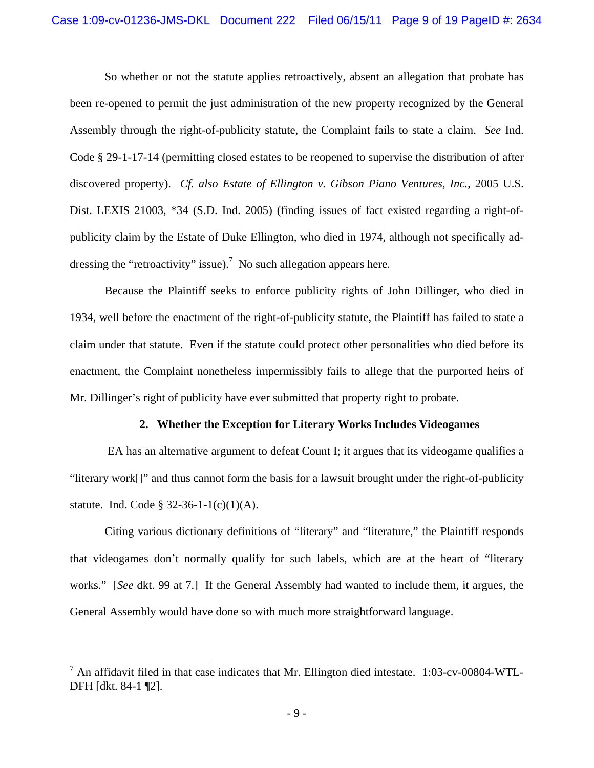So whether or not the statute applies retroactively, absent an allegation that probate has been re-opened to permit the just administration of the new property recognized by the General Assembly through the right-of-publicity statute, the Complaint fails to state a claim. *See* Ind. Code § 29-1-17-14 (permitting closed estates to be reopened to supervise the distribution of after discovered property). *Cf. also Estate of Ellington v. Gibson Piano Ventures, Inc.*, 2005 U.S. Dist. LEXIS 21003, \*34 (S.D. Ind. 2005) (finding issues of fact existed regarding a right-ofpublicity claim by the Estate of Duke Ellington, who died in 1974, although not specifically addressing the "retroactivity" issue).<sup>7</sup> No such allegation appears here.

Because the Plaintiff seeks to enforce publicity rights of John Dillinger, who died in 1934, well before the enactment of the right-of-publicity statute, the Plaintiff has failed to state a claim under that statute. Even if the statute could protect other personalities who died before its enactment, the Complaint nonetheless impermissibly fails to allege that the purported heirs of Mr. Dillinger's right of publicity have ever submitted that property right to probate.

#### **2. Whether the Exception for Literary Works Includes Videogames**

 EA has an alternative argument to defeat Count I; it argues that its videogame qualifies a "literary work[]" and thus cannot form the basis for a lawsuit brought under the right-of-publicity statute. Ind. Code § 32-36-1-1(c)(1)(A).

Citing various dictionary definitions of "literary" and "literature," the Plaintiff responds that videogames don't normally qualify for such labels, which are at the heart of "literary works." [*See* dkt. 99 at 7.] If the General Assembly had wanted to include them, it argues, the General Assembly would have done so with much more straightforward language.

 $<sup>7</sup>$  An affidavit filed in that case indicates that Mr. Ellington died intestate. 1:03-cv-00804-WTL-</sup> DFH [dkt. 84-1 ¶2].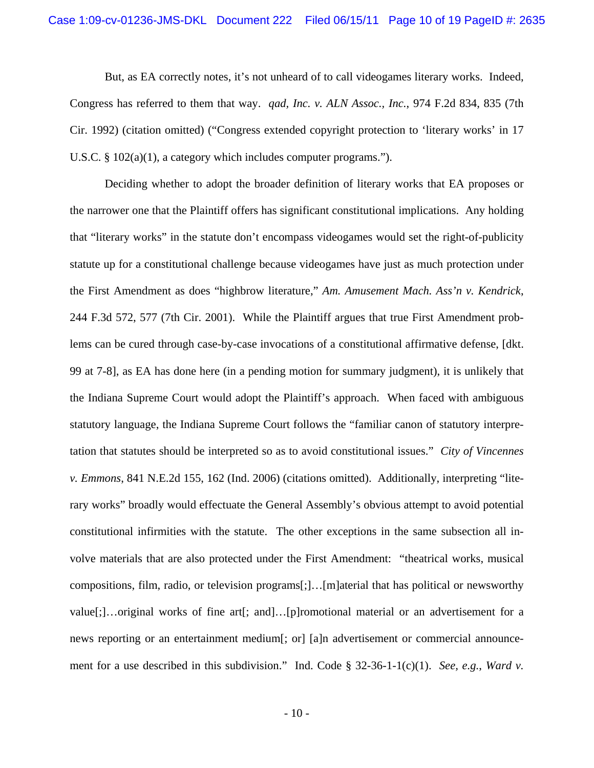But, as EA correctly notes, it's not unheard of to call videogames literary works. Indeed, Congress has referred to them that way. *qad, Inc. v. ALN Assoc., Inc.*, 974 F.2d 834, 835 (7th Cir. 1992) (citation omitted) ("Congress extended copyright protection to 'literary works' in 17 U.S.C. § 102(a)(1), a category which includes computer programs.").

Deciding whether to adopt the broader definition of literary works that EA proposes or the narrower one that the Plaintiff offers has significant constitutional implications. Any holding that "literary works" in the statute don't encompass videogames would set the right-of-publicity statute up for a constitutional challenge because videogames have just as much protection under the First Amendment as does "highbrow literature," *Am. Amusement Mach. Ass'n v. Kendrick*, 244 F.3d 572, 577 (7th Cir. 2001). While the Plaintiff argues that true First Amendment problems can be cured through case-by-case invocations of a constitutional affirmative defense, [dkt. 99 at 7-8], as EA has done here (in a pending motion for summary judgment), it is unlikely that the Indiana Supreme Court would adopt the Plaintiff's approach. When faced with ambiguous statutory language, the Indiana Supreme Court follows the "familiar canon of statutory interpretation that statutes should be interpreted so as to avoid constitutional issues." *City of Vincennes v. Emmons*, 841 N.E.2d 155, 162 (Ind. 2006) (citations omitted). Additionally, interpreting "literary works" broadly would effectuate the General Assembly's obvious attempt to avoid potential constitutional infirmities with the statute. The other exceptions in the same subsection all involve materials that are also protected under the First Amendment: "theatrical works, musical compositions, film, radio, or television programs[;]…[m]aterial that has political or newsworthy value[;]…original works of fine art[; and]…[p]romotional material or an advertisement for a news reporting or an entertainment medium[; or] [a]n advertisement or commercial announcement for a use described in this subdivision." Ind. Code § 32-36-1-1(c)(1). *See, e.g.*, *Ward v.*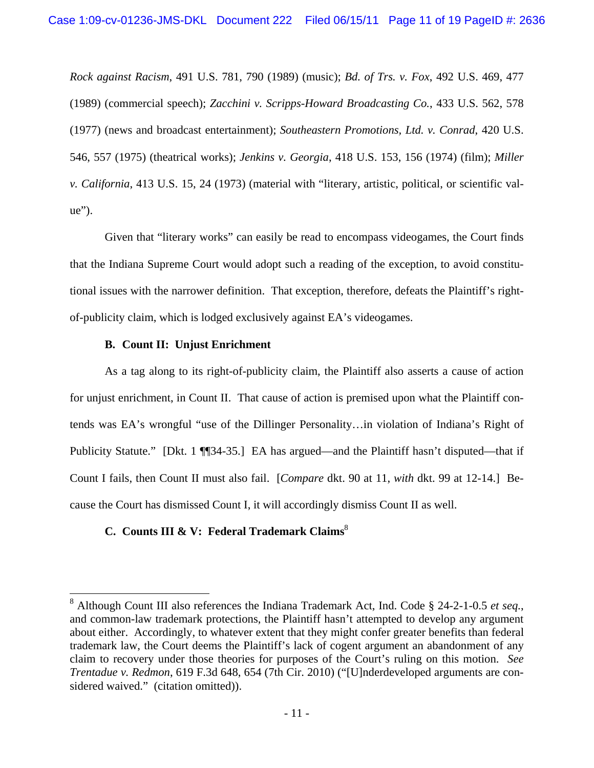*Rock against Racism*, 491 U.S. 781, 790 (1989) (music); *Bd. of Trs. v. Fox*, 492 U.S. 469, 477 (1989) (commercial speech); *Zacchini v. Scripps-Howard Broadcasting Co.*, 433 U.S. 562, 578 (1977) (news and broadcast entertainment); *Southeastern Promotions, Ltd. v. Conrad*, 420 U.S. 546, 557 (1975) (theatrical works); *Jenkins v. Georgia*, 418 U.S. 153, 156 (1974) (film); *Miller v. California*, 413 U.S. 15, 24 (1973) (material with "literary, artistic, political, or scientific value").

Given that "literary works" can easily be read to encompass videogames, the Court finds that the Indiana Supreme Court would adopt such a reading of the exception, to avoid constitutional issues with the narrower definition. That exception, therefore, defeats the Plaintiff's rightof-publicity claim, which is lodged exclusively against EA's videogames.

# **B. Count II: Unjust Enrichment**

 $\overline{a}$ 

As a tag along to its right-of-publicity claim, the Plaintiff also asserts a cause of action for unjust enrichment, in Count II. That cause of action is premised upon what the Plaintiff contends was EA's wrongful "use of the Dillinger Personality…in violation of Indiana's Right of Publicity Statute." [Dkt. 1 ¶ [34-35.] EA has argued—and the Plaintiff hasn't disputed—that if Count I fails, then Count II must also fail. [*Compare* dkt. 90 at 11, *with* dkt. 99 at 12-14.] Because the Court has dismissed Count I, it will accordingly dismiss Count II as well.

# **C.** Counts III & V: Federal Trademark Claims<sup>8</sup>

<sup>8</sup> Although Count III also references the Indiana Trademark Act, Ind. Code § 24-2-1-0.5 *et seq.*, and common-law trademark protections, the Plaintiff hasn't attempted to develop any argument about either. Accordingly, to whatever extent that they might confer greater benefits than federal trademark law, the Court deems the Plaintiff's lack of cogent argument an abandonment of any claim to recovery under those theories for purposes of the Court's ruling on this motion. *See Trentadue v. Redmon*, 619 F.3d 648, 654 (7th Cir. 2010) ("[U]nderdeveloped arguments are considered waived." (citation omitted)).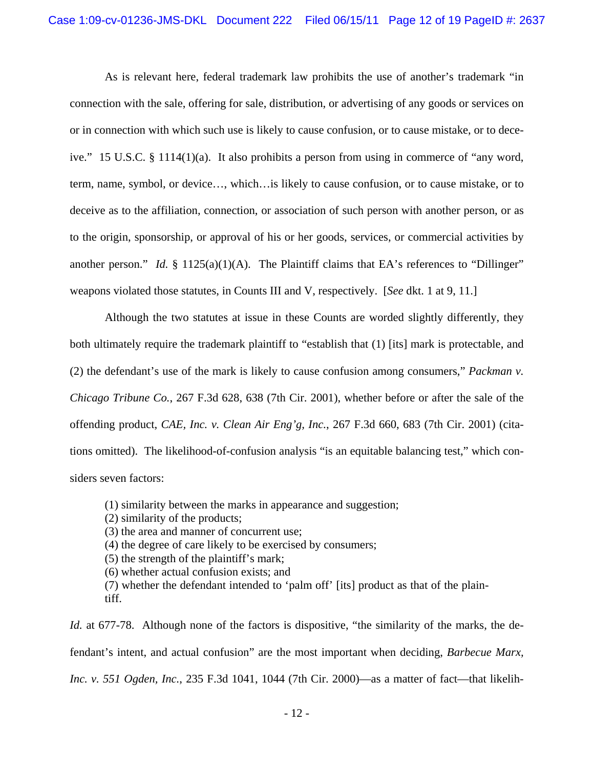As is relevant here, federal trademark law prohibits the use of another's trademark "in connection with the sale, offering for sale, distribution, or advertising of any goods or services on or in connection with which such use is likely to cause confusion, or to cause mistake, or to deceive." 15 U.S.C. § 1114(1)(a). It also prohibits a person from using in commerce of "any word, term, name, symbol, or device…, which…is likely to cause confusion, or to cause mistake, or to deceive as to the affiliation, connection, or association of such person with another person, or as to the origin, sponsorship, or approval of his or her goods, services, or commercial activities by another person." *Id.*  $\S$  1125(a)(1)(A). The Plaintiff claims that EA's references to "Dillinger" weapons violated those statutes, in Counts III and V, respectively. [*See* dkt. 1 at 9, 11.]

Although the two statutes at issue in these Counts are worded slightly differently, they both ultimately require the trademark plaintiff to "establish that (1) [its] mark is protectable, and (2) the defendant's use of the mark is likely to cause confusion among consumers," *Packman v. Chicago Tribune Co.*, 267 F.3d 628, 638 (7th Cir. 2001), whether before or after the sale of the offending product, *CAE, Inc. v. Clean Air Eng'g, Inc.*, 267 F.3d 660, 683 (7th Cir. 2001) (citations omitted). The likelihood-of-confusion analysis "is an equitable balancing test," which considers seven factors:

- (1) similarity between the marks in appearance and suggestion;
- (2) similarity of the products;
- (3) the area and manner of concurrent use;
- (4) the degree of care likely to be exercised by consumers;
- (5) the strength of the plaintiff's mark;
- (6) whether actual confusion exists; and
- (7) whether the defendant intended to 'palm off' [its] product as that of the plaintiff.

*Id.* at 677-78. Although none of the factors is dispositive, "the similarity of the marks, the defendant's intent, and actual confusion" are the most important when deciding, *Barbecue Marx, Inc. v. 551 Ogden, Inc.*, 235 F.3d 1041, 1044 (7th Cir. 2000)—as a matter of fact—that likelih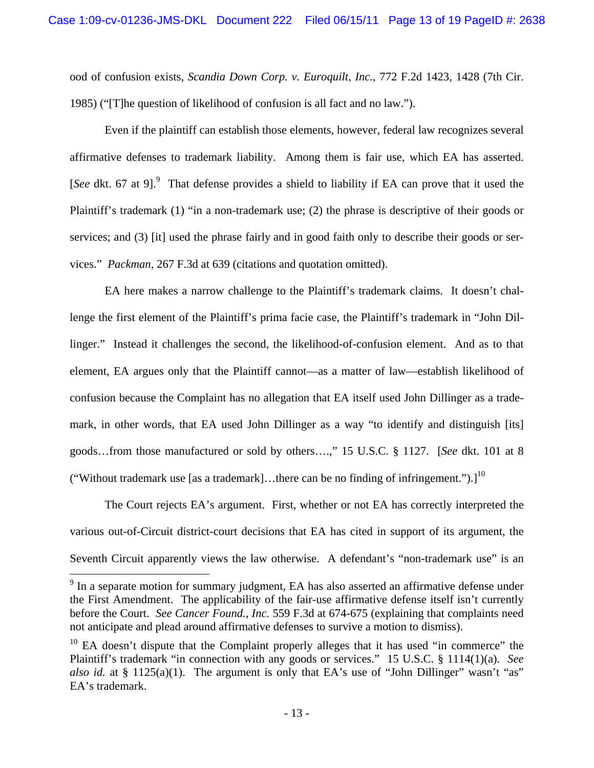ood of confusion exists, *Scandia Down Corp. v. Euroquilt, Inc.*, 772 F.2d 1423, 1428 (7th Cir. 1985) ("[T]he question of likelihood of confusion is all fact and no law.").

Even if the plaintiff can establish those elements, however, federal law recognizes several affirmative defenses to trademark liability. Among them is fair use, which EA has asserted. [See dkt. 67 at 9].<sup>9</sup> That defense provides a shield to liability if EA can prove that it used the Plaintiff's trademark (1) "in a non-trademark use; (2) the phrase is descriptive of their goods or services; and (3) [it] used the phrase fairly and in good faith only to describe their goods or services." *Packman*, 267 F.3d at 639 (citations and quotation omitted).

EA here makes a narrow challenge to the Plaintiff's trademark claims. It doesn't challenge the first element of the Plaintiff's prima facie case, the Plaintiff's trademark in "John Dillinger." Instead it challenges the second, the likelihood-of-confusion element. And as to that element, EA argues only that the Plaintiff cannot—as a matter of law—establish likelihood of confusion because the Complaint has no allegation that EA itself used John Dillinger as a trademark, in other words, that EA used John Dillinger as a way "to identify and distinguish [its] goods…from those manufactured or sold by others….," 15 U.S.C. § 1127. [*See* dkt. 101 at 8 ("Without trademark use [as a trademark]...there can be no finding of infringement.").]<sup>10</sup>

The Court rejects EA's argument. First, whether or not EA has correctly interpreted the various out-of-Circuit district-court decisions that EA has cited in support of its argument, the Seventh Circuit apparently views the law otherwise. A defendant's "non-trademark use" is an

 $9$  In a separate motion for summary judgment, EA has also asserted an affirmative defense under the First Amendment. The applicability of the fair-use affirmative defense itself isn't currently before the Court. *See Cancer Found., Inc.* 559 F.3d at 674-675 (explaining that complaints need not anticipate and plead around affirmative defenses to survive a motion to dismiss).

 $10$  EA doesn't dispute that the Complaint properly alleges that it has used "in commerce" the Plaintiff's trademark "in connection with any goods or services." 15 U.S.C. § 1114(1)(a). *See also id.* at § 1125(a)(1). The argument is only that EA's use of "John Dillinger" wasn't "as" EA's trademark.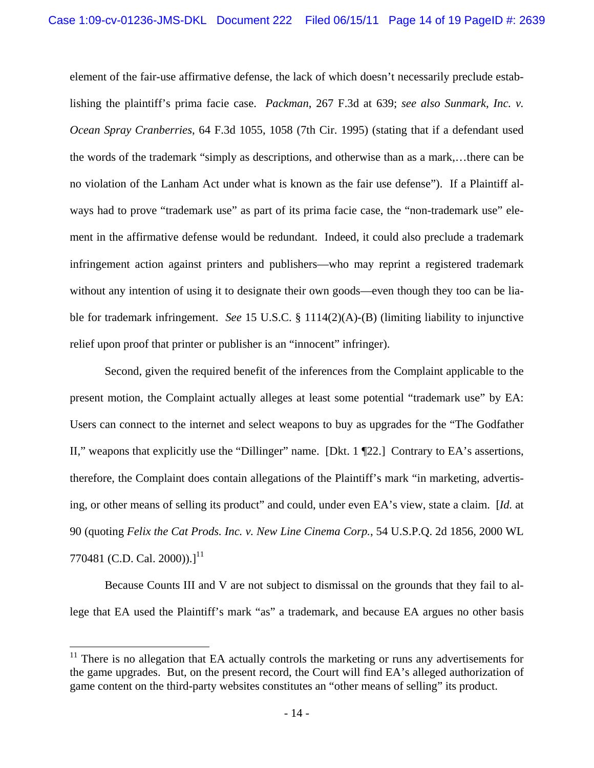element of the fair-use affirmative defense, the lack of which doesn't necessarily preclude establishing the plaintiff's prima facie case. *Packman*, 267 F.3d at 639; *see also Sunmark, Inc. v. Ocean Spray Cranberries*, 64 F.3d 1055, 1058 (7th Cir. 1995) (stating that if a defendant used the words of the trademark "simply as descriptions, and otherwise than as a mark,…there can be no violation of the Lanham Act under what is known as the fair use defense"). If a Plaintiff always had to prove "trademark use" as part of its prima facie case, the "non-trademark use" element in the affirmative defense would be redundant. Indeed, it could also preclude a trademark infringement action against printers and publishers—who may reprint a registered trademark without any intention of using it to designate their own goods—even though they too can be liable for trademark infringement. *See* 15 U.S.C. § 1114(2)(A)-(B) (limiting liability to injunctive relief upon proof that printer or publisher is an "innocent" infringer).

Second, given the required benefit of the inferences from the Complaint applicable to the present motion, the Complaint actually alleges at least some potential "trademark use" by EA: Users can connect to the internet and select weapons to buy as upgrades for the "The Godfather II," weapons that explicitly use the "Dillinger" name. [Dkt. 1 ¶22.] Contrary to EA's assertions, therefore, the Complaint does contain allegations of the Plaintiff's mark "in marketing, advertising, or other means of selling its product" and could, under even EA's view, state a claim. [*Id.* at 90 (quoting *Felix the Cat Prods. Inc. v. New Line Cinema Corp.*, 54 U.S.P.Q. 2d 1856, 2000 WL 770481 (C.D. Cal. 2000)). $l^{11}$ 

Because Counts III and V are not subject to dismissal on the grounds that they fail to allege that EA used the Plaintiff's mark "as" a trademark, and because EA argues no other basis

 $11$  There is no allegation that EA actually controls the marketing or runs any advertisements for the game upgrades. But, on the present record, the Court will find EA's alleged authorization of game content on the third-party websites constitutes an "other means of selling" its product.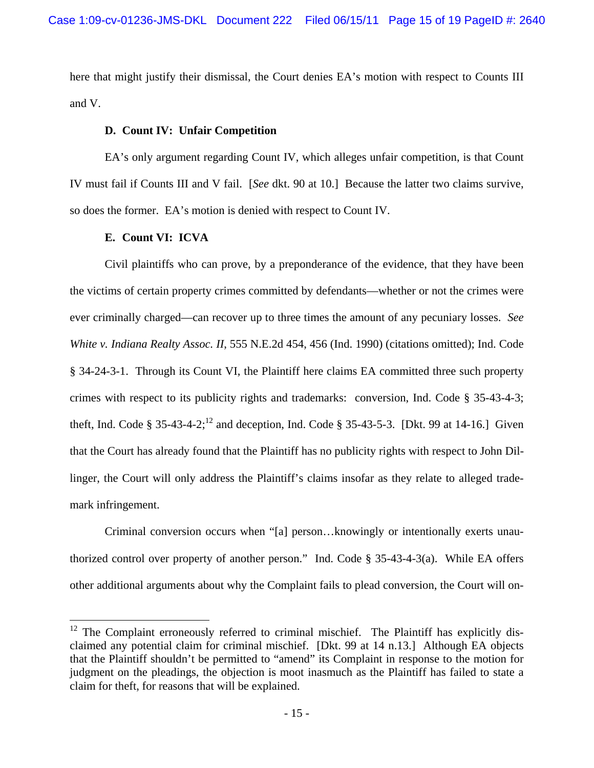here that might justify their dismissal, the Court denies EA's motion with respect to Counts III and V.

# **D. Count IV: Unfair Competition**

EA's only argument regarding Count IV, which alleges unfair competition, is that Count IV must fail if Counts III and V fail. [*See* dkt. 90 at 10.] Because the latter two claims survive, so does the former. EA's motion is denied with respect to Count IV.

# **E. Count VI: ICVA**

l

Civil plaintiffs who can prove, by a preponderance of the evidence, that they have been the victims of certain property crimes committed by defendants—whether or not the crimes were ever criminally charged—can recover up to three times the amount of any pecuniary losses. *See White v. Indiana Realty Assoc. II*, 555 N.E.2d 454, 456 (Ind. 1990) (citations omitted); Ind. Code § 34-24-3-1. Through its Count VI, the Plaintiff here claims EA committed three such property crimes with respect to its publicity rights and trademarks: conversion, Ind. Code § 35-43-4-3; theft, Ind. Code § 35-43-4-2;<sup>12</sup> and deception, Ind. Code § 35-43-5-3. [Dkt. 99 at 14-16.] Given that the Court has already found that the Plaintiff has no publicity rights with respect to John Dillinger, the Court will only address the Plaintiff's claims insofar as they relate to alleged trademark infringement.

Criminal conversion occurs when "[a] person…knowingly or intentionally exerts unauthorized control over property of another person." Ind. Code  $\S$  35-43-4-3(a). While EA offers other additional arguments about why the Complaint fails to plead conversion, the Court will on-

 $12$  The Complaint erroneously referred to criminal mischief. The Plaintiff has explicitly disclaimed any potential claim for criminal mischief. [Dkt. 99 at 14 n.13.] Although EA objects that the Plaintiff shouldn't be permitted to "amend" its Complaint in response to the motion for judgment on the pleadings, the objection is moot inasmuch as the Plaintiff has failed to state a claim for theft, for reasons that will be explained.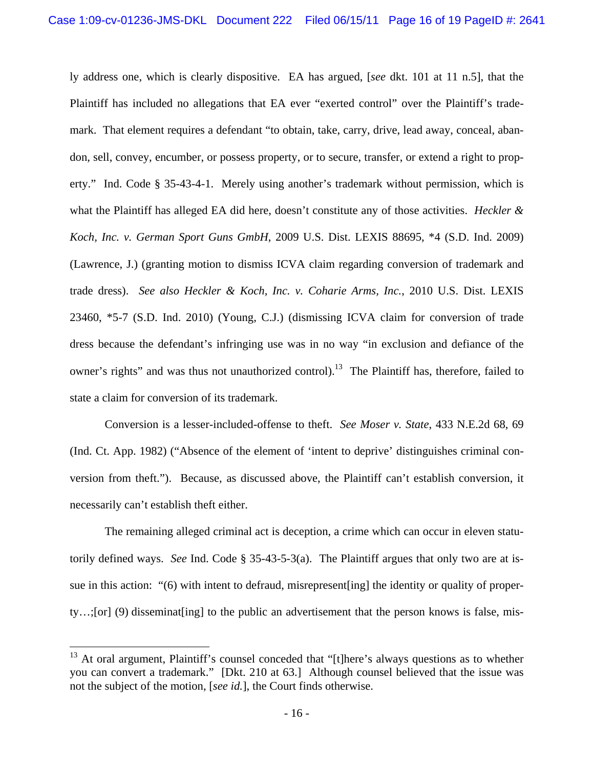ly address one, which is clearly dispositive. EA has argued, [*see* dkt. 101 at 11 n.5], that the Plaintiff has included no allegations that EA ever "exerted control" over the Plaintiff's trademark. That element requires a defendant "to obtain, take, carry, drive, lead away, conceal, abandon, sell, convey, encumber, or possess property, or to secure, transfer, or extend a right to property." Ind. Code § 35-43-4-1. Merely using another's trademark without permission, which is what the Plaintiff has alleged EA did here, doesn't constitute any of those activities. *Heckler & Koch, Inc. v. German Sport Guns GmbH*, 2009 U.S. Dist. LEXIS 88695, \*4 (S.D. Ind. 2009) (Lawrence, J.) (granting motion to dismiss ICVA claim regarding conversion of trademark and trade dress). *See also Heckler & Koch, Inc. v. Coharie Arms, Inc.*, 2010 U.S. Dist. LEXIS 23460, \*5-7 (S.D. Ind. 2010) (Young, C.J.) (dismissing ICVA claim for conversion of trade dress because the defendant's infringing use was in no way "in exclusion and defiance of the owner's rights" and was thus not unauthorized control).<sup>13</sup> The Plaintiff has, therefore, failed to state a claim for conversion of its trademark.

Conversion is a lesser-included-offense to theft. *See Moser v. State*, 433 N.E.2d 68, 69 (Ind. Ct. App. 1982) ("Absence of the element of 'intent to deprive' distinguishes criminal conversion from theft."). Because, as discussed above, the Plaintiff can't establish conversion, it necessarily can't establish theft either.

The remaining alleged criminal act is deception, a crime which can occur in eleven statutorily defined ways. *See* Ind. Code § 35-43-5-3(a). The Plaintiff argues that only two are at issue in this action: "(6) with intent to defraud, misrepresent[ing] the identity or quality of property…;[or] (9) disseminat[ing] to the public an advertisement that the person knows is false, mis-

 $13$  At oral argument, Plaintiff's counsel conceded that "[t]here's always questions as to whether you can convert a trademark." [Dkt. 210 at 63.] Although counsel believed that the issue was not the subject of the motion, [*see id.*], the Court finds otherwise.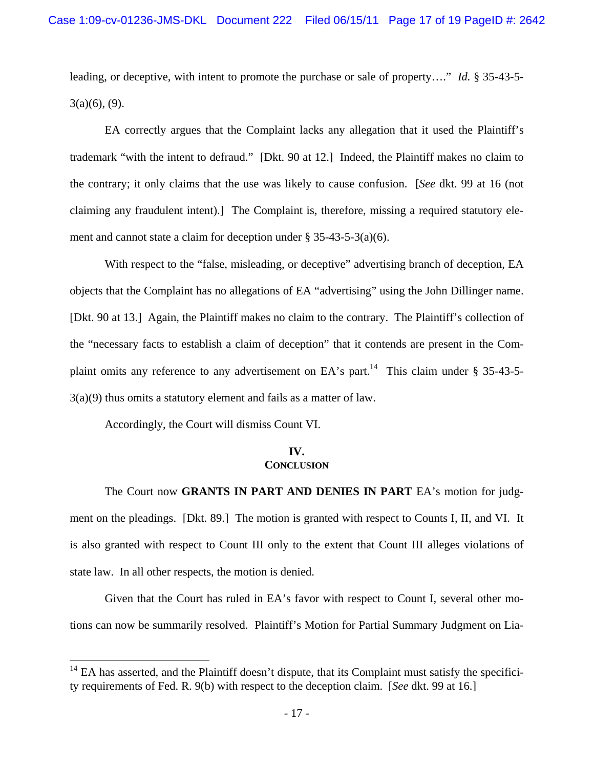leading, or deceptive, with intent to promote the purchase or sale of property…." *Id.* § 35-43-5-  $3(a)(6)$ , (9).

EA correctly argues that the Complaint lacks any allegation that it used the Plaintiff's trademark "with the intent to defraud." [Dkt. 90 at 12.] Indeed, the Plaintiff makes no claim to the contrary; it only claims that the use was likely to cause confusion. [*See* dkt. 99 at 16 (not claiming any fraudulent intent).] The Complaint is, therefore, missing a required statutory element and cannot state a claim for deception under § 35-43-5-3(a)(6).

With respect to the "false, misleading, or deceptive" advertising branch of deception, EA objects that the Complaint has no allegations of EA "advertising" using the John Dillinger name. [Dkt. 90 at 13.] Again, the Plaintiff makes no claim to the contrary. The Plaintiff's collection of the "necessary facts to establish a claim of deception" that it contends are present in the Complaint omits any reference to any advertisement on EA's part.<sup>14</sup> This claim under  $\S$  35-43-5-3(a)(9) thus omits a statutory element and fails as a matter of law.

Accordingly, the Court will dismiss Count VI.

 $\overline{a}$ 

### **IV. CONCLUSION**

The Court now **GRANTS IN PART AND DENIES IN PART** EA's motion for judgment on the pleadings. [Dkt. 89.] The motion is granted with respect to Counts I, II, and VI. It is also granted with respect to Count III only to the extent that Count III alleges violations of state law. In all other respects, the motion is denied.

Given that the Court has ruled in EA's favor with respect to Count I, several other motions can now be summarily resolved. Plaintiff's Motion for Partial Summary Judgment on Lia-

 $14$  EA has asserted, and the Plaintiff doesn't dispute, that its Complaint must satisfy the specificity requirements of Fed. R. 9(b) with respect to the deception claim. [*See* dkt. 99 at 16.]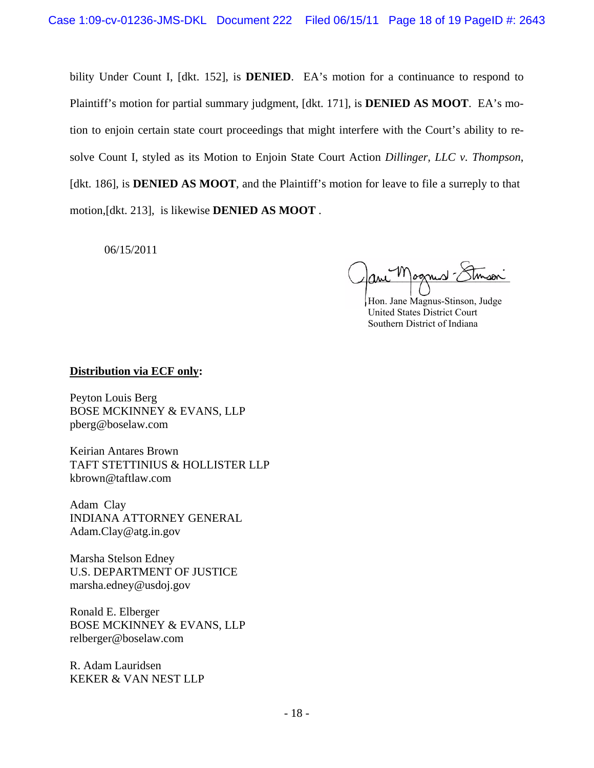bility Under Count I, [dkt. 152], is **DENIED**. EA's motion for a continuance to respond to Plaintiff's motion for partial summary judgment, [dkt. 171], is **DENIED AS MOOT**. EA's motion to enjoin certain state court proceedings that might interfere with the Court's ability to resolve Count I, styled as its Motion to Enjoin State Court Action *Dillinger, LLC v. Thompson*, [dkt. 186], is **DENIED AS MOOT**, and the Plaintiff's motion for leave to file a surreply to that motion,[dkt. 213], is likewise **DENIED AS MOOT** .

06/15/2011

 $_{\text{parallel}}$ 

 Hon. Jane Magnus-Stinson, Judge United States District Court Southern District of Indiana

# **Distribution via ECF only:**

Peyton Louis Berg BOSE MCKINNEY & EVANS, LLP pberg@boselaw.com

Keirian Antares Brown TAFT STETTINIUS & HOLLISTER LLP kbrown@taftlaw.com

Adam Clay INDIANA ATTORNEY GENERAL Adam.Clay@atg.in.gov

Marsha Stelson Edney U.S. DEPARTMENT OF JUSTICE marsha.edney@usdoj.gov

Ronald E. Elberger BOSE MCKINNEY & EVANS, LLP relberger@boselaw.com

R. Adam Lauridsen KEKER & VAN NEST LLP